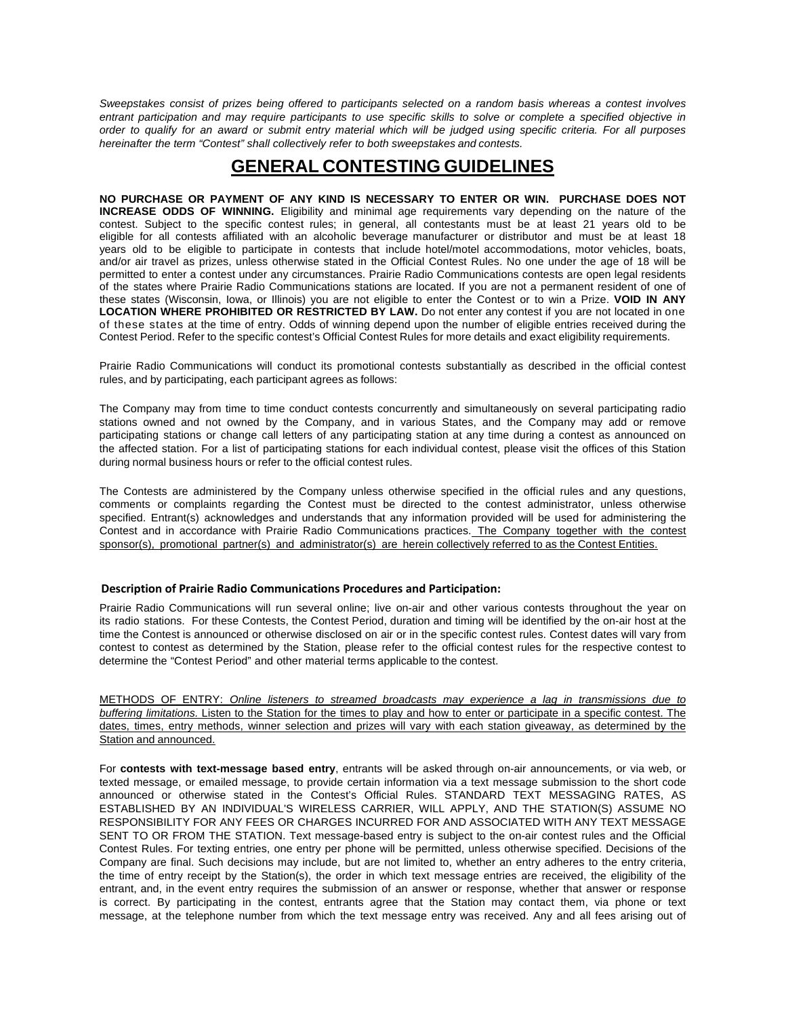Sweepstakes consist of prizes being offered to participants selected on a random basis whereas a contest involves entrant participation and may require participants to use specific skills to solve or complete a specified objective in order to qualify for an award or submit entry material which will be judged using specific criteria. For all purposes *hereinafter the term "Contest" shall collectively refer to both sweepstakes and contests.*

## **GENERAL CONTESTING GUIDELINES**

**NO PURCHASE OR PAYMENT OF ANY KIND IS NECESSARY TO ENTER OR WIN. PURCHASE DOES NOT INCREASE ODDS OF WINNING.** Eligibility and minimal age requirements vary depending on the nature of the contest. Subject to the specific contest rules; in general, all contestants must be at least 21 years old to be eligible for all contests affiliated with an alcoholic beverage manufacturer or distributor and must be at least 18 years old to be eligible to participate in contests that include hotel/motel accommodations, motor vehicles, boats, and/or air travel as prizes, unless otherwise stated in the Official Contest Rules. No one under the age of 18 will be permitted to enter a contest under any circumstances. Prairie Radio Communications contests are open legal residents of the states where Prairie Radio Communications stations are located. If you are not a permanent resident of one of these states (Wisconsin, Iowa, or Illinois) you are not eligible to enter the Contest or to win a Prize. **VOID IN ANY LOCATION WHERE PROHIBITED OR RESTRICTED BY LAW.** Do not enter any contest if you are not located in one of these states at the time of entry. Odds of winning depend upon the number of eligible entries received during the Contest Period. Refer to the specific contest's Official Contest Rules for more details and exact eligibility requirements.

Prairie Radio Communications will conduct its promotional contests substantially as described in the official contest rules, and by participating, each participant agrees as follows:

The Company may from time to time conduct contests concurrently and simultaneously on several participating radio stations owned and not owned by the Company, and in various States, and the Company may add or remove participating stations or change call letters of any participating station at any time during a contest as announced on the affected station. For a list of participating stations for each individual contest, please visit the offices of this Station during normal business hours or refer to the official contest rules.

The Contests are administered by the Company unless otherwise specified in the official rules and any questions, comments or complaints regarding the Contest must be directed to the contest administrator, unless otherwise specified. Entrant(s) acknowledges and understands that any information provided will be used for administering the Contest and in accordance with Prairie Radio Communications practices. The Company together with the contest sponsor(s), promotional partner(s) and administrator(s) are herein collectively referred to as the Contest Entities.

## **Description of Prairie Radio Communications Procedures and Participation:**

Prairie Radio Communications will run several online; live on-air and other various contests throughout the year on its radio stations. For these Contests, the Contest Period, duration and timing will be identified by the on-air host at the time the Contest is announced or otherwise disclosed on air or in the specific contest rules. Contest dates will vary from contest to contest as determined by the Station, please refer to the official contest rules for the respective contest to determine the "Contest Period" and other material terms applicable to the contest.

METHODS OF ENTRY: *Online listeners to streamed broadcasts may experience a lag in transmissions due to buffering limitations.* Listen to the Station for the times to play and how to enter or participate in a specific contest. The dates, times, entry methods, winner selection and prizes will vary with each station giveaway, as determined by the Station and announced.

For **contests with text-message based entry**, entrants will be asked through on-air announcements, or via web, or texted message, or emailed message, to provide certain information via a text message submission to the short code announced or otherwise stated in the Contest's Official Rules. STANDARD TEXT MESSAGING RATES, AS ESTABLISHED BY AN INDIVIDUAL'S WIRELESS CARRIER, WILL APPLY, AND THE STATION(S) ASSUME NO RESPONSIBILITY FOR ANY FEES OR CHARGES INCURRED FOR AND ASSOCIATED WITH ANY TEXT MESSAGE SENT TO OR FROM THE STATION. Text message-based entry is subject to the on-air contest rules and the Official Contest Rules. For texting entries, one entry per phone will be permitted, unless otherwise specified. Decisions of the Company are final. Such decisions may include, but are not limited to, whether an entry adheres to the entry criteria, the time of entry receipt by the Station(s), the order in which text message entries are received, the eligibility of the entrant, and, in the event entry requires the submission of an answer or response, whether that answer or response is correct. By participating in the contest, entrants agree that the Station may contact them, via phone or text message, at the telephone number from which the text message entry was received. Any and all fees arising out of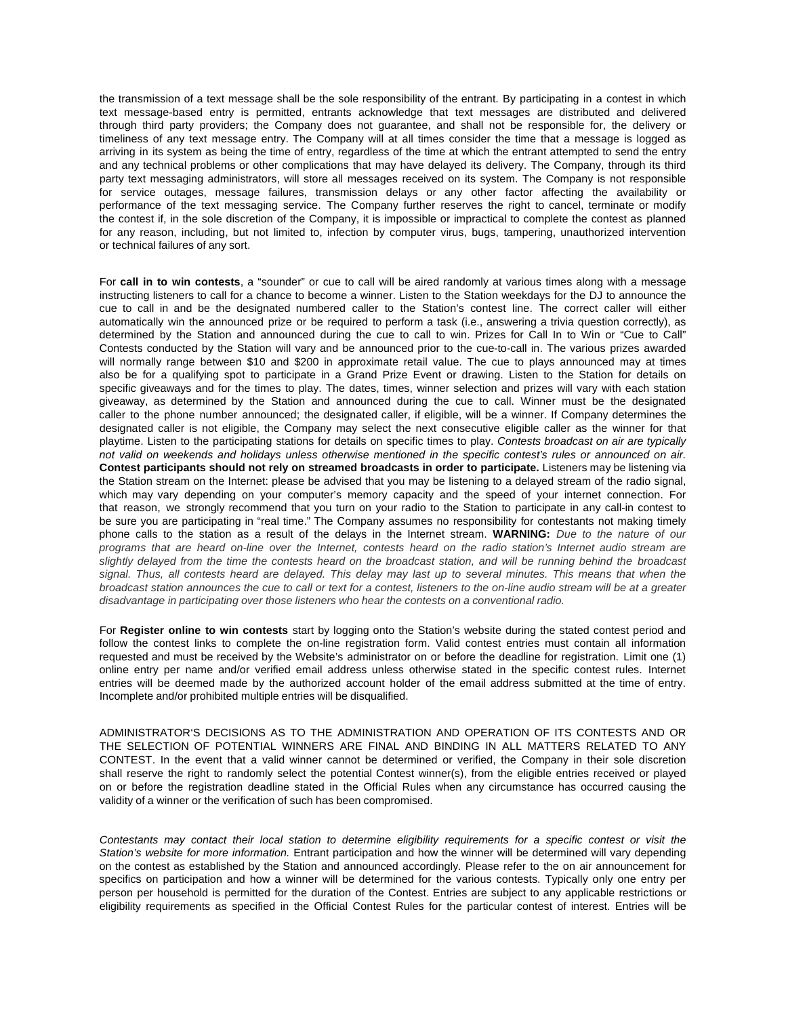the transmission of a text message shall be the sole responsibility of the entrant. By participating in a contest in which text message-based entry is permitted, entrants acknowledge that text messages are distributed and delivered through third party providers; the Company does not guarantee, and shall not be responsible for, the delivery or timeliness of any text message entry. The Company will at all times consider the time that a message is logged as arriving in its system as being the time of entry, regardless of the time at which the entrant attempted to send the entry and any technical problems or other complications that may have delayed its delivery. The Company, through its third party text messaging administrators, will store all messages received on its system. The Company is not responsible for service outages, message failures, transmission delays or any other factor affecting the availability or performance of the text messaging service. The Company further reserves the right to cancel, terminate or modify the contest if, in the sole discretion of the Company, it is impossible or impractical to complete the contest as planned for any reason, including, but not limited to, infection by computer virus, bugs, tampering, unauthorized intervention or technical failures of any sort.

For **call in to win contests**, a "sounder" or cue to call will be aired randomly at various times along with a message instructing listeners to call for a chance to become a winner. Listen to the Station weekdays for the DJ to announce the cue to call in and be the designated numbered caller to the Station's contest line. The correct caller will either automatically win the announced prize or be required to perform a task (i.e., answering a trivia question correctly), as determined by the Station and announced during the cue to call to win. Prizes for Call In to Win or "Cue to Call" Contests conducted by the Station will vary and be announced prior to the cue-to-call in. The various prizes awarded will normally range between \$10 and \$200 in approximate retail value. The cue to plays announced may at times also be for a qualifying spot to participate in a Grand Prize Event or drawing. Listen to the Station for details on specific giveaways and for the times to play. The dates, times, winner selection and prizes will vary with each station giveaway, as determined by the Station and announced during the cue to call. Winner must be the designated caller to the phone number announced; the designated caller, if eligible, will be a winner. If Company determines the designated caller is not eligible, the Company may select the next consecutive eligible caller as the winner for that playtime. Listen to the participating stations for details on specific times to play. *Contests broadcast on air are typically* not valid on weekends and holidavs unless otherwise mentioned in the specific contest's rules or announced on air. **Contest participants should not rely on streamed broadcasts in order to participate.** Listeners may be listening via the Station stream on the Internet: please be advised that you may be listening to a delayed stream of the radio signal, which may vary depending on your computer's memory capacity and the speed of your internet connection. For that reason, we strongly recommend that you turn on your radio to the Station to participate in any call-in contest to be sure you are participating in "real time." The Company assumes no responsibility for contestants not making timely phone calls to the station as a result of the delays in the Internet stream. **WARNING:** *Due to the nature of our* programs that are heard on-line over the Internet, contests heard on the radio station's Internet audio stream are slightly delayed from the time the contests heard on the broadcast station, and will be running behind the broadcast signal. Thus, all contests heard are delayed. This delay may last up to several minutes. This means that when the broadcast station announces the cue to call or text for a contest, listeners to the on-line audio stream will be at a greater *disadvantage in participating over those listeners who hear the contests on a conventional radio.*

For **Register online to win contests** start by logging onto the Station's website during the stated contest period and follow the contest links to complete the on-line registration form. Valid contest entries must contain all information requested and must be received by the Website's administrator on or before the deadline for registration. Limit one (1) online entry per name and/or verified email address unless otherwise stated in the specific contest rules. Internet entries will be deemed made by the authorized account holder of the email address submitted at the time of entry. Incomplete and/or prohibited multiple entries will be disqualified.

ADMINISTRATOR'S DECISIONS AS TO THE ADMINISTRATION AND OPERATION OF ITS CONTESTS AND OR THE SELECTION OF POTENTIAL WINNERS ARE FINAL AND BINDING IN ALL MATTERS RELATED TO ANY CONTEST. In the event that a valid winner cannot be determined or verified, the Company in their sole discretion shall reserve the right to randomly select the potential Contest winner(s), from the eligible entries received or played on or before the registration deadline stated in the Official Rules when any circumstance has occurred causing the validity of a winner or the verification of such has been compromised.

Contestants may contact their local station to determine eligibility requirements for a specific contest or visit the *Station's website for more information.* Entrant participation and how the winner will be determined will vary depending on the contest as established by the Station and announced accordingly. Please refer to the on air announcement for specifics on participation and how a winner will be determined for the various contests. Typically only one entry per person per household is permitted for the duration of the Contest. Entries are subject to any applicable restrictions or eligibility requirements as specified in the Official Contest Rules for the particular contest of interest. Entries will be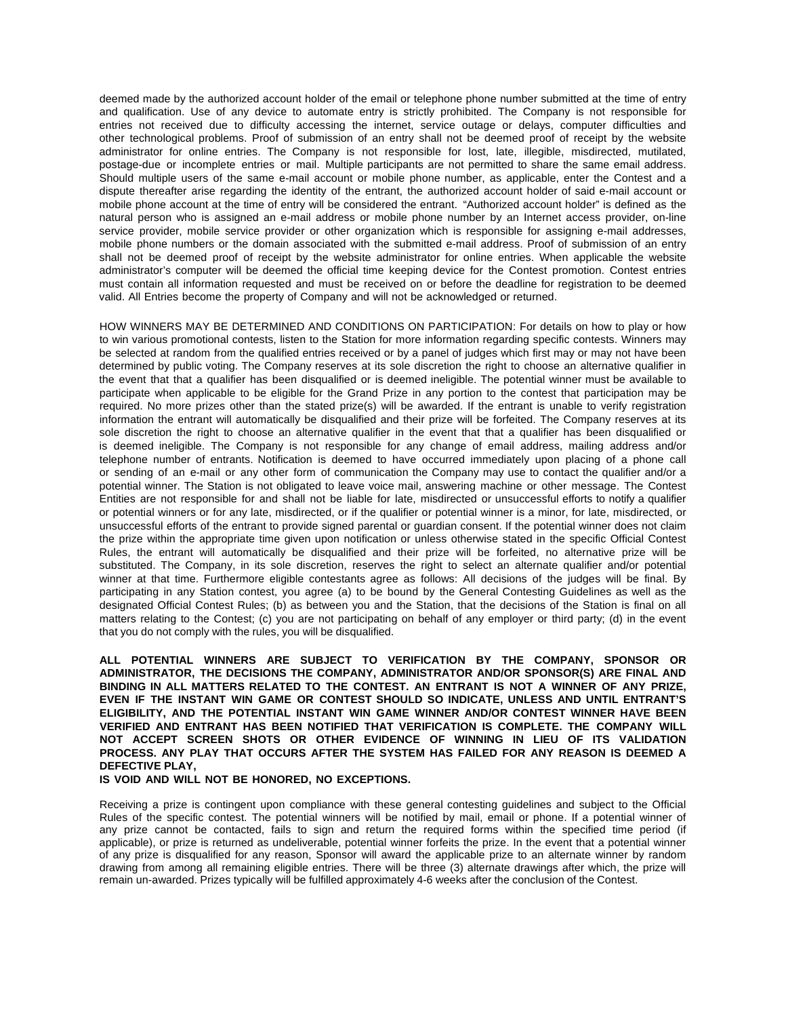deemed made by the authorized account holder of the email or telephone phone number submitted at the time of entry and qualification. Use of any device to automate entry is strictly prohibited. The Company is not responsible for entries not received due to difficulty accessing the internet, service outage or delays, computer difficulties and other technological problems. Proof of submission of an entry shall not be deemed proof of receipt by the website administrator for online entries. The Company is not responsible for lost, late, illegible, misdirected, mutilated, postage-due or incomplete entries or mail. Multiple participants are not permitted to share the same email address. Should multiple users of the same e-mail account or mobile phone number, as applicable, enter the Contest and a dispute thereafter arise regarding the identity of the entrant, the authorized account holder of said e-mail account or mobile phone account at the time of entry will be considered the entrant. "Authorized account holder" is defined as the natural person who is assigned an e-mail address or mobile phone number by an Internet access provider, on-line service provider, mobile service provider or other organization which is responsible for assigning e-mail addresses, mobile phone numbers or the domain associated with the submitted e-mail address. Proof of submission of an entry shall not be deemed proof of receipt by the website administrator for online entries. When applicable the website administrator's computer will be deemed the official time keeping device for the Contest promotion. Contest entries must contain all information requested and must be received on or before the deadline for registration to be deemed valid. All Entries become the property of Company and will not be acknowledged or returned.

HOW WINNERS MAY BE DETERMINED AND CONDITIONS ON PARTICIPATION: For details on how to play or how to win various promotional contests, listen to the Station for more information regarding specific contests. Winners may be selected at random from the qualified entries received or by a panel of judges which first may or may not have been determined by public voting. The Company reserves at its sole discretion the right to choose an alternative qualifier in the event that that a qualifier has been disqualified or is deemed ineligible. The potential winner must be available to participate when applicable to be eligible for the Grand Prize in any portion to the contest that participation may be required. No more prizes other than the stated prize(s) will be awarded. If the entrant is unable to verify registration information the entrant will automatically be disqualified and their prize will be forfeited. The Company reserves at its sole discretion the right to choose an alternative qualifier in the event that that a qualifier has been disqualified or is deemed ineligible. The Company is not responsible for any change of email address, mailing address and/or telephone number of entrants. Notification is deemed to have occurred immediately upon placing of a phone call or sending of an e-mail or any other form of communication the Company may use to contact the qualifier and/or a potential winner. The Station is not obligated to leave voice mail, answering machine or other message. The Contest Entities are not responsible for and shall not be liable for late, misdirected or unsuccessful efforts to notify a qualifier or potential winners or for any late, misdirected, or if the qualifier or potential winner is a minor, for late, misdirected, or unsuccessful efforts of the entrant to provide signed parental or guardian consent. If the potential winner does not claim the prize within the appropriate time given upon notification or unless otherwise stated in the specific Official Contest Rules, the entrant will automatically be disqualified and their prize will be forfeited, no alternative prize will be substituted. The Company, in its sole discretion, reserves the right to select an alternate qualifier and/or potential winner at that time. Furthermore eligible contestants agree as follows: All decisions of the judges will be final. By participating in any Station contest, you agree (a) to be bound by the General Contesting Guidelines as well as the designated Official Contest Rules; (b) as between you and the Station, that the decisions of the Station is final on all matters relating to the Contest; (c) you are not participating on behalf of any employer or third party; (d) in the event that you do not comply with the rules, you will be disqualified.

## **ALL POTENTIAL WINNERS ARE SUBJECT TO VERIFICATION BY THE COMPANY, SPONSOR OR ADMINISTRATOR, THE DECISIONS THE COMPANY, ADMINISTRATOR AND/OR SPONSOR(S) ARE FINAL AND BINDING IN ALL MATTERS RELATED TO THE CONTEST. AN ENTRANT IS NOT A WINNER OF ANY PRIZE, EVEN IF THE INSTANT WIN GAME OR CONTEST SHOULD SO INDICATE, UNLESS AND UNTIL ENTRANT'S ELIGIBILITY, AND THE POTENTIAL INSTANT WIN GAME WINNER AND/OR CONTEST WINNER HAVE BEEN VERIFIED AND ENTRANT HAS BEEN NOTIFIED THAT VERIFICATION IS COMPLETE. THE COMPANY WILL NOT ACCEPT SCREEN SHOTS OR OTHER EVIDENCE OF WINNING IN LIEU OF ITS VALIDATION PROCESS. ANY PLAY THAT OCCURS AFTER THE SYSTEM HAS FAILED FOR ANY REASON IS DEEMED A DEFECTIVE PLAY, IS VOID AND WILL NOT BE HONORED, NO EXCEPTIONS.**

Receiving a prize is contingent upon compliance with these general contesting guidelines and subject to the Official Rules of the specific contest. The potential winners will be notified by mail, email or phone. If a potential winner of any prize cannot be contacted, fails to sign and return the required forms within the specified time period (if applicable), or prize is returned as undeliverable, potential winner forfeits the prize. In the event that a potential winner of any prize is disqualified for any reason, Sponsor will award the applicable prize to an alternate winner by random drawing from among all remaining eligible entries. There will be three (3) alternate drawings after which, the prize will remain un-awarded. Prizes typically will be fulfilled approximately 4-6 weeks after the conclusion of the Contest.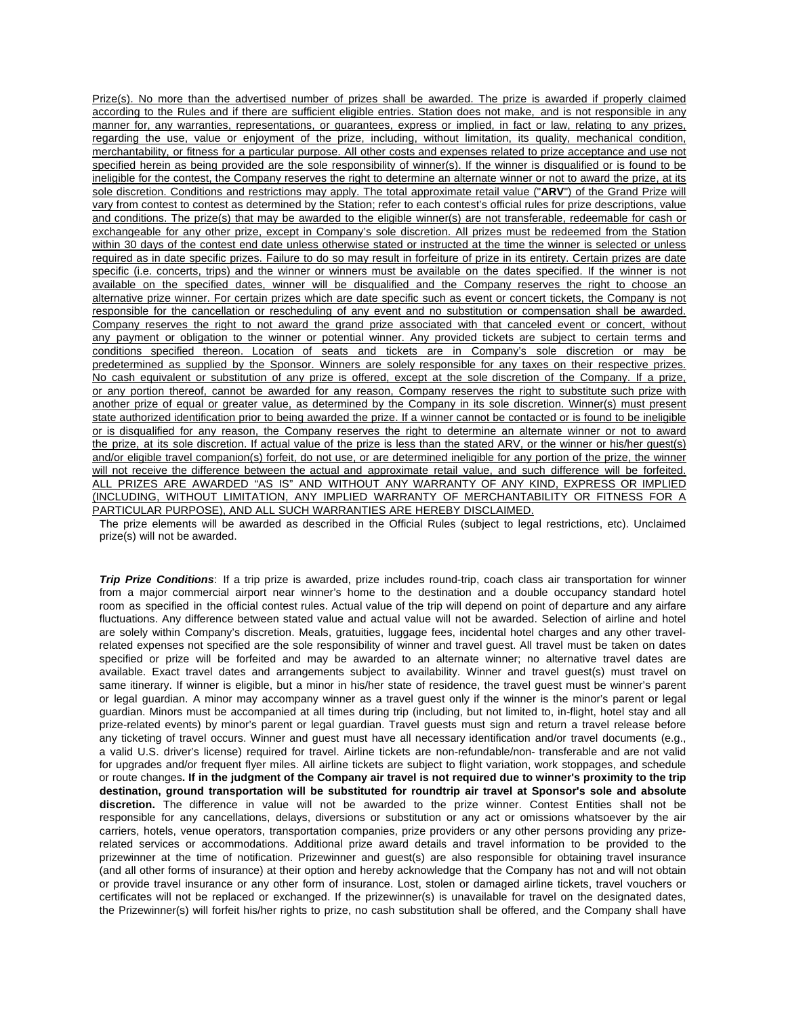Prize(s). No more than the advertised number of prizes shall be awarded. The prize is awarded if properly claimed according to the Rules and if there are sufficient eligible entries. Station does not make, and is not responsible in any manner for, any warranties, representations, or guarantees, express or implied, in fact or law, relating to any prizes, regarding the use, value or enjoyment of the prize, including, without limitation, its quality, mechanical condition, merchantability, or fitness for a particular purpose. All other costs and expenses related to prize acceptance and use not specified herein as being provided are the sole responsibility of winner(s). If the winner is disqualified or is found to be ineligible for the contest, the Company reserves the right to determine an alternate winner or not to award the prize, at its sole discretion. Conditions and restrictions may apply. The total approximate retail value ("**ARV**") of the Grand Prize will vary from contest to contest as determined by the Station; refer to each contest's official rules for prize descriptions, value and conditions. The prize(s) that may be awarded to the eligible winner(s) are not transferable, redeemable for cash or exchangeable for any other prize, except in Company's sole discretion. All prizes must be redeemed from the Station within 30 days of the contest end date unless otherwise stated or instructed at the time the winner is selected or unless required as in date specific prizes. Failure to do so may result in forfeiture of prize in its entirety. Certain prizes are date specific (i.e. concerts, trips) and the winner or winners must be available on the dates specified. If the winner is not available on the specified dates, winner will be disqualified and the Company reserves the right to choose an alternative prize winner. For certain prizes which are date specific such as event or concert tickets, the Company is not responsible for the cancellation or rescheduling of any event and no substitution or compensation shall be awarded. Company reserves the right to not award the grand prize associated with that canceled event or concert, without any payment or obligation to the winner or potential winner. Any provided tickets are subject to certain terms and conditions specified thereon. Location of seats and tickets are in Company's sole discretion or may be predetermined as supplied by the Sponsor. Winners are solely responsible for any taxes on their respective prizes. No cash equivalent or substitution of any prize is offered, except at the sole discretion of the Company. If a prize, or any portion thereof, cannot be awarded for any reason, Company reserves the right to substitute such prize with another prize of equal or greater value, as determined by the Company in its sole discretion. Winner(s) must present state authorized identification prior to being awarded the prize. If a winner cannot be contacted or is found to be ineligible or is disqualified for any reason, the Company reserves the right to determine an alternate winner or not to award the prize, at its sole discretion. If actual value of the prize is less than the stated ARV, or the winner or his/her guest(s) and/or eligible travel companion(s) forfeit, do not use, or are determined ineligible for any portion of the prize, the winner will not receive the difference between the actual and approximate retail value, and such difference will be forfeited. ALL PRIZES ARE AWARDED "AS IS" AND WITHOUT ANY WARRANTY OF ANY KIND, EXPRESS OR IMPLIED (INCLUDING, WITHOUT LIMITATION, ANY IMPLIED WARRANTY OF MERCHANTABILITY OR FITNESS FOR A PARTICULAR PURPOSE), AND ALL SUCH WARRANTIES ARE HEREBY DISCLAIMED.

The prize elements will be awarded as described in the Official Rules (subject to legal restrictions, etc). Unclaimed prize(s) will not be awarded.

*Trip Prize Conditions*: If a trip prize is awarded, prize includes round-trip, coach class air transportation for winner from a major commercial airport near winner's home to the destination and a double occupancy standard hotel room as specified in the official contest rules. Actual value of the trip will depend on point of departure and any airfare fluctuations. Any difference between stated value and actual value will not be awarded. Selection of airline and hotel are solely within Company's discretion. Meals, gratuities, luggage fees, incidental hotel charges and any other travelrelated expenses not specified are the sole responsibility of winner and travel guest. All travel must be taken on dates specified or prize will be forfeited and may be awarded to an alternate winner; no alternative travel dates are available. Exact travel dates and arrangements subject to availability. Winner and travel guest(s) must travel on same itinerary. If winner is eligible, but a minor in his/her state of residence, the travel guest must be winner's parent or legal guardian. A minor may accompany winner as a travel guest only if the winner is the minor's parent or legal guardian. Minors must be accompanied at all times during trip (including, but not limited to, in-flight, hotel stay and all prize-related events) by minor's parent or legal guardian. Travel guests must sign and return a travel release before any ticketing of travel occurs. Winner and guest must have all necessary identification and/or travel documents (e.g., a valid U.S. driver's license) required for travel. Airline tickets are non-refundable/non- transferable and are not valid for upgrades and/or frequent flyer miles. All airline tickets are subject to flight variation, work stoppages, and schedule or route changes. If in the judgment of the Company air travel is not required due to winner's proximity to the trip **destination, ground transportation will be substituted for roundtrip air travel at Sponsor's sole and absolute discretion.** The difference in value will not be awarded to the prize winner. Contest Entities shall not be responsible for any cancellations, delays, diversions or substitution or any act or omissions whatsoever by the air carriers, hotels, venue operators, transportation companies, prize providers or any other persons providing any prizerelated services or accommodations. Additional prize award details and travel information to be provided to the prizewinner at the time of notification. Prizewinner and guest(s) are also responsible for obtaining travel insurance (and all other forms of insurance) at their option and hereby acknowledge that the Company has not and will not obtain or provide travel insurance or any other form of insurance. Lost, stolen or damaged airline tickets, travel vouchers or certificates will not be replaced or exchanged. If the prizewinner(s) is unavailable for travel on the designated dates, the Prizewinner(s) will forfeit his/her rights to prize, no cash substitution shall be offered, and the Company shall have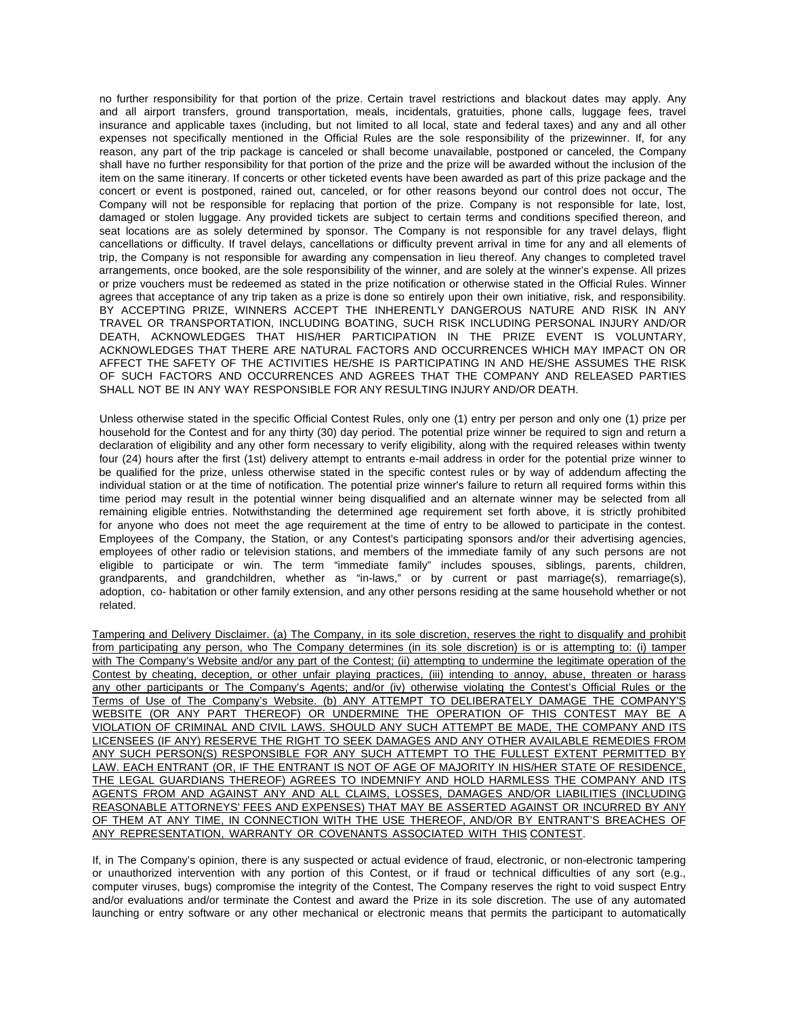no further responsibility for that portion of the prize. Certain travel restrictions and blackout dates may apply. Any and all airport transfers, ground transportation, meals, incidentals, gratuities, phone calls, luggage fees, travel insurance and applicable taxes (including, but not limited to all local, state and federal taxes) and any and all other expenses not specifically mentioned in the Official Rules are the sole responsibility of the prizewinner. If, for any reason, any part of the trip package is canceled or shall become unavailable, postponed or canceled, the Company shall have no further responsibility for that portion of the prize and the prize will be awarded without the inclusion of the item on the same itinerary. If concerts or other ticketed events have been awarded as part of this prize package and the concert or event is postponed, rained out, canceled, or for other reasons beyond our control does not occur, The Company will not be responsible for replacing that portion of the prize. Company is not responsible for late, lost, damaged or stolen luggage. Any provided tickets are subject to certain terms and conditions specified thereon, and seat locations are as solely determined by sponsor. The Company is not responsible for any travel delays, flight cancellations or difficulty. If travel delays, cancellations or difficulty prevent arrival in time for any and all elements of trip, the Company is not responsible for awarding any compensation in lieu thereof. Any changes to completed travel arrangements, once booked, are the sole responsibility of the winner, and are solely at the winner's expense. All prizes or prize vouchers must be redeemed as stated in the prize notification or otherwise stated in the Official Rules. Winner agrees that acceptance of any trip taken as a prize is done so entirely upon their own initiative, risk, and responsibility. BY ACCEPTING PRIZE, WINNERS ACCEPT THE INHERENTLY DANGEROUS NATURE AND RISK IN ANY TRAVEL OR TRANSPORTATION, INCLUDING BOATING, SUCH RISK INCLUDING PERSONAL INJURY AND/OR DEATH, ACKNOWLEDGES THAT HIS/HER PARTICIPATION IN THE PRIZE EVENT IS VOLUNTARY, ACKNOWLEDGES THAT THERE ARE NATURAL FACTORS AND OCCURRENCES WHICH MAY IMPACT ON OR AFFECT THE SAFETY OF THE ACTIVITIES HE/SHE IS PARTICIPATING IN AND HE/SHE ASSUMES THE RISK OF SUCH FACTORS AND OCCURRENCES AND AGREES THAT THE COMPANY AND RELEASED PARTIES SHALL NOT BE IN ANY WAY RESPONSIBLE FOR ANY RESULTING INJURY AND/OR DEATH.

Unless otherwise stated in the specific Official Contest Rules, only one (1) entry per person and only one (1) prize per household for the Contest and for any thirty (30) day period. The potential prize winner be required to sign and return a declaration of eligibility and any other form necessary to verify eligibility, along with the required releases within twenty four (24) hours after the first (1st) delivery attempt to entrants e-mail address in order for the potential prize winner to be qualified for the prize, unless otherwise stated in the specific contest rules or by way of addendum affecting the individual station or at the time of notification. The potential prize winner's failure to return all required forms within this time period may result in the potential winner being disqualified and an alternate winner may be selected from all remaining eligible entries. Notwithstanding the determined age requirement set forth above, it is strictly prohibited for anyone who does not meet the age requirement at the time of entry to be allowed to participate in the contest. Employees of the Company, the Station, or any Contest's participating sponsors and/or their advertising agencies, employees of other radio or television stations, and members of the immediate family of any such persons are not eligible to participate or win. The term "immediate family" includes spouses, siblings, parents, children, grandparents, and grandchildren, whether as "in-laws," or by current or past marriage(s), remarriage(s), adoption, co- habitation or other family extension, and any other persons residing at the same household whether or not related.

Tampering and Delivery Disclaimer. (a) The Company, in its sole discretion, reserves the right to disqualify and prohibit from participating any person, who The Company determines (in its sole discretion) is or is attempting to: (i) tamper with The Company's Website and/or any part of the Contest; (ii) attempting to undermine the legitimate operation of the Contest by cheating, deception, or other unfair playing practices, (iii) intending to annoy, abuse, threaten or harass any other participants or The Company's Agents; and/or (iv) otherwise violating the Contest's Official Rules or the Terms of Use of The Company's Website. (b) ANY ATTEMPT TO DELIBERATELY DAMAGE THE COMPANY'S WEBSITE (OR ANY PART THEREOF) OR UNDERMINE THE OPERATION OF THIS CONTEST MAY BE A VIOLATION OF CRIMINAL AND CIVIL LAWS. SHOULD ANY SUCH ATTEMPT BE MADE, THE COMPANY AND ITS LICENSEES (IF ANY) RESERVE THE RIGHT TO SEEK DAMAGES AND ANY OTHER AVAILABLE REMEDIES FROM ANY SUCH PERSON(S) RESPONSIBLE FOR ANY SUCH ATTEMPT TO THE FULLEST EXTENT PERMITTED BY LAW. EACH ENTRANT (OR, IF THE ENTRANT IS NOT OF AGE OF MAJORITY IN HIS/HER STATE OF RESIDENCE, THE LEGAL GUARDIANS THEREOF) AGREES TO INDEMNIFY AND HOLD HARMLESS THE COMPANY AND ITS AGENTS FROM AND AGAINST ANY AND ALL CLAIMS, LOSSES, DAMAGES AND/OR LIABILITIES (INCLUDING REASONABLE ATTORNEYS' FEES AND EXPENSES) THAT MAY BE ASSERTED AGAINST OR INCURRED BY ANY OF THEM AT ANY TIME, IN CONNECTION WITH THE USE THEREOF, AND/OR BY ENTRANT'S BREACHES OF ANY REPRESENTATION, WARRANTY OR COVENANTS ASSOCIATED WITH THIS CONTEST.

If, in The Company's opinion, there is any suspected or actual evidence of fraud, electronic, or non-electronic tampering or unauthorized intervention with any portion of this Contest, or if fraud or technical difficulties of any sort (e.g., computer viruses, bugs) compromise the integrity of the Contest, The Company reserves the right to void suspect Entry and/or evaluations and/or terminate the Contest and award the Prize in its sole discretion. The use of any automated launching or entry software or any other mechanical or electronic means that permits the participant to automatically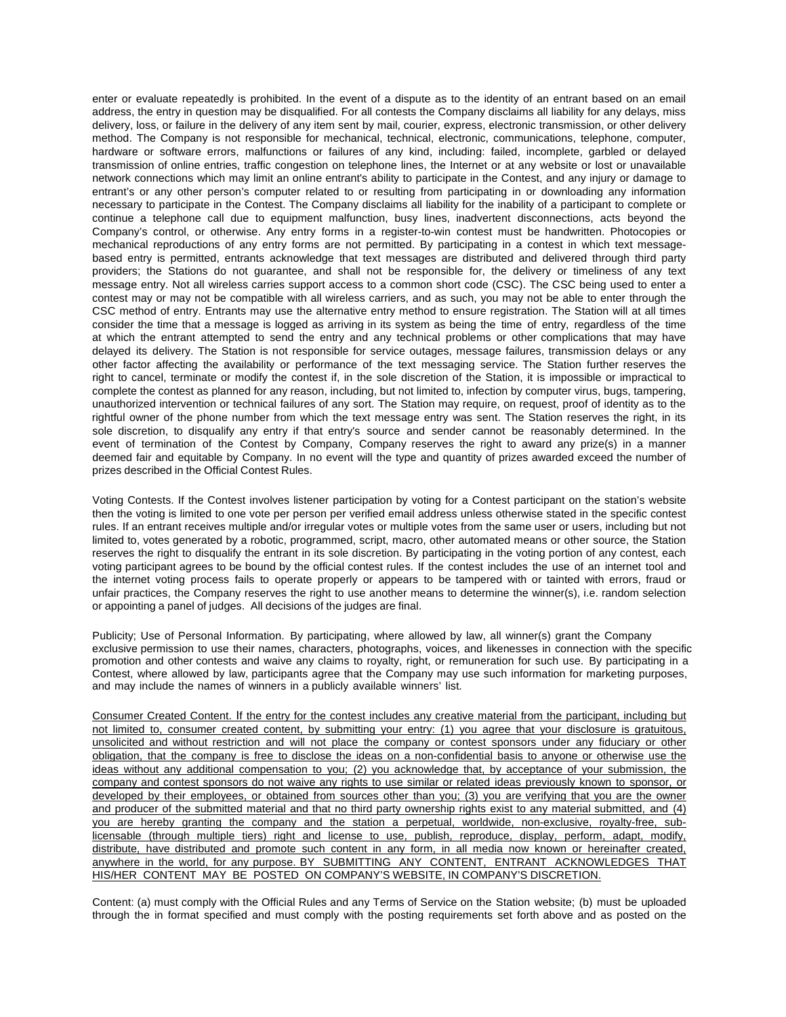enter or evaluate repeatedly is prohibited. In the event of a dispute as to the identity of an entrant based on an email address, the entry in question may be disqualified. For all contests the Company disclaims all liability for any delays, miss delivery, loss, or failure in the delivery of any item sent by mail, courier, express, electronic transmission, or other delivery method. The Company is not responsible for mechanical, technical, electronic, communications, telephone, computer, hardware or software errors, malfunctions or failures of any kind, including: failed, incomplete, garbled or delayed transmission of online entries, traffic congestion on telephone lines, the Internet or at any website or lost or unavailable network connections which may limit an online entrant's ability to participate in the Contest, and any injury or damage to entrant's or any other person's computer related to or resulting from participating in or downloading any information necessary to participate in the Contest. The Company disclaims all liability for the inability of a participant to complete or continue a telephone call due to equipment malfunction, busy lines, inadvertent disconnections, acts beyond the Company's control, or otherwise. Any entry forms in a register-to-win contest must be handwritten. Photocopies or mechanical reproductions of any entry forms are not permitted. By participating in a contest in which text messagebased entry is permitted, entrants acknowledge that text messages are distributed and delivered through third party providers; the Stations do not guarantee, and shall not be responsible for, the delivery or timeliness of any text message entry. Not all wireless carries support access to a common short code (CSC). The CSC being used to enter a contest may or may not be compatible with all wireless carriers, and as such, you may not be able to enter through the CSC method of entry. Entrants may use the alternative entry method to ensure registration. The Station will at all times consider the time that a message is logged as arriving in its system as being the time of entry, regardless of the time at which the entrant attempted to send the entry and any technical problems or other complications that may have delayed its delivery. The Station is not responsible for service outages, message failures, transmission delays or any other factor affecting the availability or performance of the text messaging service. The Station further reserves the right to cancel, terminate or modify the contest if, in the sole discretion of the Station, it is impossible or impractical to complete the contest as planned for any reason, including, but not limited to, infection by computer virus, bugs, tampering, unauthorized intervention or technical failures of any sort. The Station may require, on request, proof of identity as to the rightful owner of the phone number from which the text message entry was sent. The Station reserves the right, in its sole discretion, to disqualify any entry if that entry's source and sender cannot be reasonably determined. In the event of termination of the Contest by Company, Company reserves the right to award any prize(s) in a manner deemed fair and equitable by Company. In no event will the type and quantity of prizes awarded exceed the number of prizes described in the Official Contest Rules.

Voting Contests. If the Contest involves listener participation by voting for a Contest participant on the station's website then the voting is limited to one vote per person per verified email address unless otherwise stated in the specific contest rules. If an entrant receives multiple and/or irregular votes or multiple votes from the same user or users, including but not limited to, votes generated by a robotic, programmed, script, macro, other automated means or other source, the Station reserves the right to disqualify the entrant in its sole discretion. By participating in the voting portion of any contest, each voting participant agrees to be bound by the official contest rules. If the contest includes the use of an internet tool and the internet voting process fails to operate properly or appears to be tampered with or tainted with errors, fraud or unfair practices, the Company reserves the right to use another means to determine the winner(s), i.e. random selection or appointing a panel of judges. All decisions of the judges are final.

Publicity; Use of Personal Information. By participating, where allowed by law, all winner(s) grant the Company exclusive permission to use their names, characters, photographs, voices, and likenesses in connection with the specific promotion and other contests and waive any claims to royalty, right, or remuneration for such use. By participating in a Contest, where allowed by law, participants agree that the Company may use such information for marketing purposes, and may include the names of winners in a publicly available winners' list.

Consumer Created Content. If the entry for the contest includes any creative material from the participant, including but not limited to, consumer created content, by submitting your entry: (1) you agree that your disclosure is gratuitous, unsolicited and without restriction and will not place the company or contest sponsors under any fiduciary or other obligation, that the company is free to disclose the ideas on a non-confidential basis to anyone or otherwise use the ideas without any additional compensation to you; (2) you acknowledge that, by acceptance of your submission, the company and contest sponsors do not waive any rights to use similar or related ideas previously known to sponsor, or developed by their employees, or obtained from sources other than you; (3) you are verifying that you are the owner and producer of the submitted material and that no third party ownership rights exist to any material submitted, and (4) you are hereby granting the company and the station a perpetual, worldwide, non-exclusive, royalty-free, sublicensable (through multiple tiers) right and license to use, publish, reproduce, display, perform, adapt, modify, distribute, have distributed and promote such content in any form, in all media now known or hereinafter created, anywhere in the world, for any purpose. BY SUBMITTING ANY CONTENT, ENTRANT ACKNOWLEDGES THAT HIS/HER CONTENT MAY BE POSTED ON COMPANY'S WEBSITE, IN COMPANY'S DISCRETION.

Content: (a) must comply with the Official Rules and any Terms of Service on the Station website; (b) must be uploaded through the in format specified and must comply with the posting requirements set forth above and as posted on the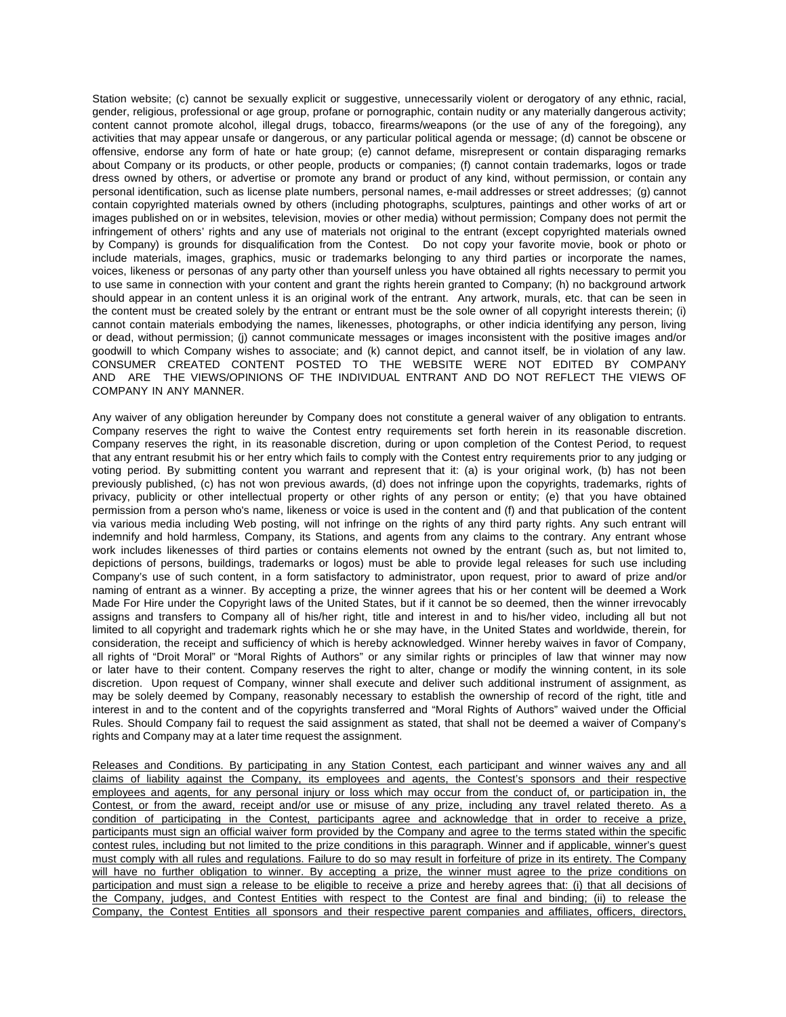Station website; (c) cannot be sexually explicit or suggestive, unnecessarily violent or derogatory of any ethnic, racial, gender, religious, professional or age group, profane or pornographic, contain nudity or any materially dangerous activity; content cannot promote alcohol, illegal drugs, tobacco, firearms/weapons (or the use of any of the foregoing), any activities that may appear unsafe or dangerous, or any particular political agenda or message; (d) cannot be obscene or offensive, endorse any form of hate or hate group; (e) cannot defame, misrepresent or contain disparaging remarks about Company or its products, or other people, products or companies; (f) cannot contain trademarks, logos or trade dress owned by others, or advertise or promote any brand or product of any kind, without permission, or contain any personal identification, such as license plate numbers, personal names, e-mail addresses or street addresses; (g) cannot contain copyrighted materials owned by others (including photographs, sculptures, paintings and other works of art or images published on or in websites, television, movies or other media) without permission; Company does not permit the infringement of others' rights and any use of materials not original to the entrant (except copyrighted materials owned by Company) is grounds for disqualification from the Contest. Do not copy your favorite movie, book or photo or include materials, images, graphics, music or trademarks belonging to any third parties or incorporate the names, voices, likeness or personas of any party other than yourself unless you have obtained all rights necessary to permit you to use same in connection with your content and grant the rights herein granted to Company; (h) no background artwork should appear in an content unless it is an original work of the entrant. Any artwork, murals, etc. that can be seen in the content must be created solely by the entrant or entrant must be the sole owner of all copyright interests therein; (i) cannot contain materials embodying the names, likenesses, photographs, or other indicia identifying any person, living or dead, without permission; (j) cannot communicate messages or images inconsistent with the positive images and/or goodwill to which Company wishes to associate; and (k) cannot depict, and cannot itself, be in violation of any law. CONSUMER CREATED CONTENT POSTED TO THE WEBSITE WERE NOT EDITED BY COMPANY AND ARE THE VIEWS/OPINIONS OF THE INDIVIDUAL ENTRANT AND DO NOT REFLECT THE VIEWS OF COMPANY IN ANY MANNER.

Any waiver of any obligation hereunder by Company does not constitute a general waiver of any obligation to entrants. Company reserves the right to waive the Contest entry requirements set forth herein in its reasonable discretion. Company reserves the right, in its reasonable discretion, during or upon completion of the Contest Period, to request that any entrant resubmit his or her entry which fails to comply with the Contest entry requirements prior to any judging or voting period. By submitting content you warrant and represent that it: (a) is your original work, (b) has not been previously published, (c) has not won previous awards, (d) does not infringe upon the copyrights, trademarks, rights of privacy, publicity or other intellectual property or other rights of any person or entity; (e) that you have obtained permission from a person who's name, likeness or voice is used in the content and (f) and that publication of the content via various media including Web posting, will not infringe on the rights of any third party rights. Any such entrant will indemnify and hold harmless, Company, its Stations, and agents from any claims to the contrary. Any entrant whose work includes likenesses of third parties or contains elements not owned by the entrant (such as, but not limited to, depictions of persons, buildings, trademarks or logos) must be able to provide legal releases for such use including Company's use of such content, in a form satisfactory to administrator, upon request, prior to award of prize and/or naming of entrant as a winner. By accepting a prize, the winner agrees that his or her content will be deemed a Work Made For Hire under the Copyright laws of the United States, but if it cannot be so deemed, then the winner irrevocably assigns and transfers to Company all of his/her right, title and interest in and to his/her video, including all but not limited to all copyright and trademark rights which he or she may have, in the United States and worldwide, therein, for consideration, the receipt and sufficiency of which is hereby acknowledged. Winner hereby waives in favor of Company, all rights of "Droit Moral" or "Moral Rights of Authors" or any similar rights or principles of law that winner may now or later have to their content. Company reserves the right to alter, change or modify the winning content, in its sole discretion. Upon request of Company, winner shall execute and deliver such additional instrument of assignment, as may be solely deemed by Company, reasonably necessary to establish the ownership of record of the right, title and interest in and to the content and of the copyrights transferred and "Moral Rights of Authors" waived under the Official Rules. Should Company fail to request the said assignment as stated, that shall not be deemed a waiver of Company's rights and Company may at a later time request the assignment.

Releases and Conditions. By participating in any Station Contest, each participant and winner waives any and all claims of liability against the Company, its employees and agents, the Contest's sponsors and their respective employees and agents, for any personal injury or loss which may occur from the conduct of, or participation in, the Contest, or from the award, receipt and/or use or misuse of any prize, including any travel related thereto. As a condition of participating in the Contest, participants agree and acknowledge that in order to receive a prize, participants must sign an official waiver form provided by the Company and agree to the terms stated within the specific contest rules, including but not limited to the prize conditions in this paragraph. Winner and if applicable, winner's guest must comply with all rules and regulations. Failure to do so may result in forfeiture of prize in its entirety. The Company will have no further obligation to winner. By accepting a prize, the winner must agree to the prize conditions on participation and must sign a release to be eligible to receive a prize and hereby agrees that: (i) that all decisions of the Company, judges, and Contest Entities with respect to the Contest are final and binding; (ii) to release the Company, the Contest Entities all sponsors and their respective parent companies and affiliates, officers, directors,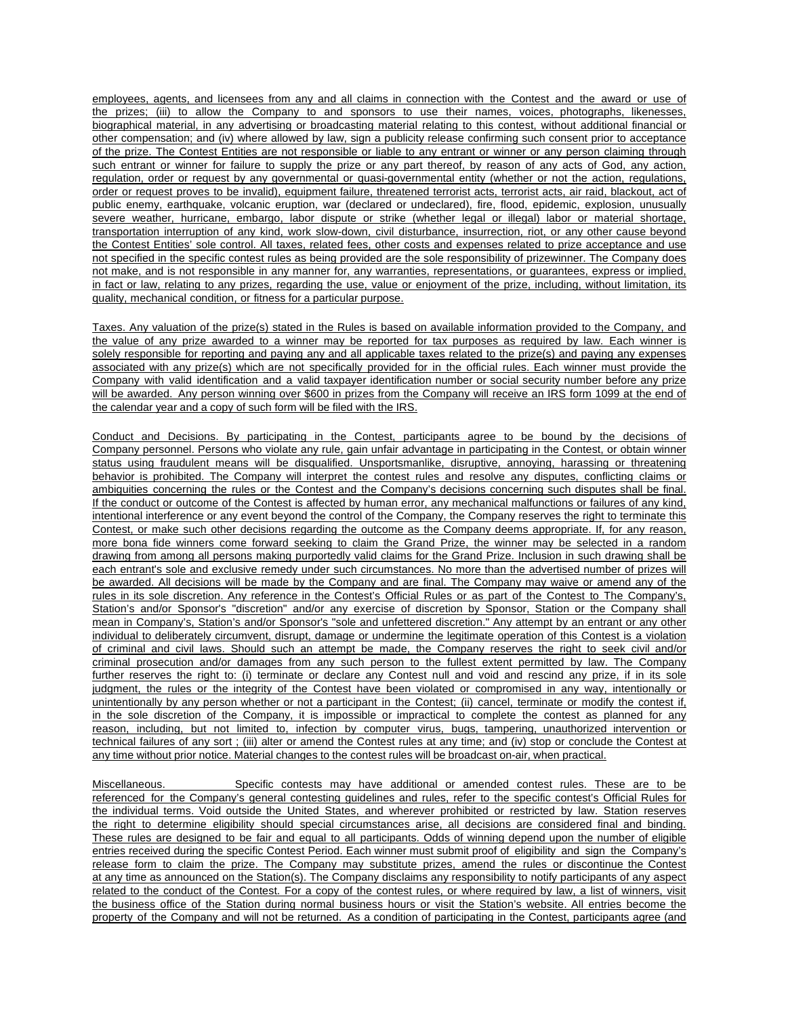employees, agents, and licensees from any and all claims in connection with the Contest and the award or use of the prizes; (iii) to allow the Company to and sponsors to use their names, voices, photographs, likenesses, biographical material, in any advertising or broadcasting material relating to this contest, without additional financial or other compensation; and (iv) where allowed by law, sign a publicity release confirming such consent prior to acceptance of the prize. The Contest Entities are not responsible or liable to any entrant or winner or any person claiming through such entrant or winner for failure to supply the prize or any part thereof, by reason of any acts of God, any action, regulation, order or request by any governmental or quasi-governmental entity (whether or not the action, regulations, order or request proves to be invalid), equipment failure, threatened terrorist acts, terrorist acts, air raid, blackout, act of public enemy, earthquake, volcanic eruption, war (declared or undeclared), fire, flood, epidemic, explosion, unusually severe weather, hurricane, embargo, labor dispute or strike (whether legal or illegal) labor or material shortage, transportation interruption of any kind, work slow-down, civil disturbance, insurrection, riot, or any other cause beyond the Contest Entities' sole control. All taxes, related fees, other costs and expenses related to prize acceptance and use not specified in the specific contest rules as being provided are the sole responsibility of prizewinner. The Company does not make, and is not responsible in any manner for, any warranties, representations, or guarantees, express or implied, in fact or law, relating to any prizes, regarding the use, value or enjoyment of the prize, including, without limitation, its quality, mechanical condition, or fitness for a particular purpose.

Taxes. Any valuation of the prize(s) stated in the Rules is based on available information provided to the Company, and the value of any prize awarded to a winner may be reported for tax purposes as required by law. Each winner is solely responsible for reporting and paying any and all applicable taxes related to the prize(s) and paying any expenses associated with any prize(s) which are not specifically provided for in the official rules. Each winner must provide the Company with valid identification and a valid taxpayer identification number or social security number before any prize will be awarded. Any person winning over \$600 in prizes from the Company will receive an IRS form 1099 at the end of the calendar year and a copy of such form will be filed with the IRS.

Conduct and Decisions. By participating in the Contest, participants agree to be bound by the decisions of Company personnel. Persons who violate any rule, gain unfair advantage in participating in the Contest, or obtain winner status using fraudulent means will be disqualified. Unsportsmanlike, disruptive, annoying, harassing or threatening behavior is prohibited. The Company will interpret the contest rules and resolve any disputes, conflicting claims or ambiguities concerning the rules or the Contest and the Company's decisions concerning such disputes shall be final. If the conduct or outcome of the Contest is affected by human error, any mechanical malfunctions or failures of any kind, intentional interference or any event beyond the control of the Company, the Company reserves the right to terminate this Contest, or make such other decisions regarding the outcome as the Company deems appropriate. If, for any reason, more bona fide winners come forward seeking to claim the Grand Prize, the winner may be selected in a random drawing from among all persons making purportedly valid claims for the Grand Prize. Inclusion in such drawing shall be each entrant's sole and exclusive remedy under such circumstances. No more than the advertised number of prizes will be awarded. All decisions will be made by the Company and are final. The Company may waive or amend any of the rules in its sole discretion. Any reference in the Contest's Official Rules or as part of the Contest to The Company's, Station's and/or Sponsor's "discretion" and/or any exercise of discretion by Sponsor, Station or the Company shall mean in Company's, Station's and/or Sponsor's "sole and unfettered discretion." Any attempt by an entrant or any other individual to deliberately circumvent, disrupt, damage or undermine the legitimate operation of this Contest is a violation of criminal and civil laws. Should such an attempt be made, the Company reserves the right to seek civil and/or criminal prosecution and/or damages from any such person to the fullest extent permitted by law. The Company further reserves the right to: (i) terminate or declare any Contest null and void and rescind any prize, if in its sole judgment, the rules or the integrity of the Contest have been violated or compromised in any way, intentionally or unintentionally by any person whether or not a participant in the Contest; (ii) cancel, terminate or modify the contest if, in the sole discretion of the Company, it is impossible or impractical to complete the contest as planned for any reason, including, but not limited to, infection by computer virus, bugs, tampering, unauthorized intervention or technical failures of any sort ; (iii) alter or amend the Contest rules at any time; and (iv) stop or conclude the Contest at any time without prior notice. Material changes to the contest rules will be broadcast on-air, when practical.

Miscellaneous. Specific contests may have additional or amended contest rules. These are to be referenced for the Company's general contesting guidelines and rules, refer to the specific contest's Official Rules for the individual terms. Void outside the United States, and wherever prohibited or restricted by law. Station reserves the right to determine eligibility should special circumstances arise, all decisions are considered final and binding. These rules are designed to be fair and equal to all participants. Odds of winning depend upon the number of eligible entries received during the specific Contest Period. Each winner must submit proof of eligibility and sign the Company's release form to claim the prize. The Company may substitute prizes, amend the rules or discontinue the Contest at any time as announced on the Station(s). The Company disclaims any responsibility to notify participants of any aspect related to the conduct of the Contest. For a copy of the contest rules, or where required by law, a list of winners, visit the business office of the Station during normal business hours or visit the Station's website. All entries become the property of the Company and will not be returned. As a condition of participating in the Contest, participants agree (and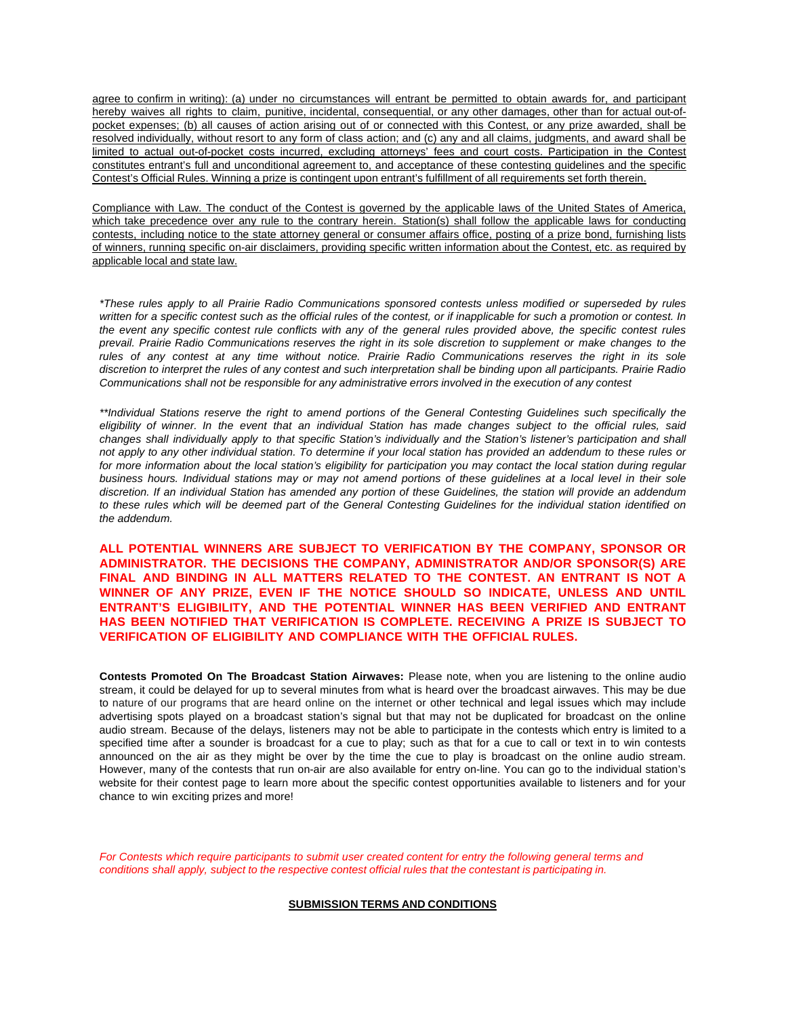agree to confirm in writing): (a) under no circumstances will entrant be permitted to obtain awards for, and participant hereby waives all rights to claim, punitive, incidental, consequential, or any other damages, other than for actual out-ofpocket expenses; (b) all causes of action arising out of or connected with this Contest, or any prize awarded, shall be resolved individually, without resort to any form of class action; and (c) any and all claims, judgments, and award shall be limited to actual out-of-pocket costs incurred, excluding attorneys' fees and court costs. Participation in the Contest constitutes entrant's full and unconditional agreement to, and acceptance of these contesting guidelines and the specific Contest's Official Rules. Winning a prize is contingent upon entrant's fulfillment of all requirements set forth therein.

Compliance with Law. The conduct of the Contest is governed by the applicable laws of the United States of America, which take precedence over any rule to the contrary herein. Station(s) shall follow the applicable laws for conducting contests, including notice to the state attorney general or consumer affairs office, posting of a prize bond, furnishing lists of winners, running specific on-air disclaimers, providing specific written information about the Contest, etc. as required by applicable local and state law.

*\*These rules apply to all Prairie Radio Communications sponsored contests unless modified or superseded by rules* written for a specific contest such as the official rules of the contest, or if inapplicable for such a promotion or contest. In the event any specific contest rule conflicts with any of the general rules provided above, the specific contest rules *prevail. Prairie Radio Communications reserves the right in its sole discretion to supplement or make changes to the rules of any contest at any time without notice. Prairie Radio Communications reserves the right in its sole*  discretion to interpret the rules of any contest and such interpretation shall be binding upon all participants. Prairie Radio *Communications shall not be responsible for any administrative errors involved in the execution of any contest*

\*\*Individual Stations reserve the right to amend portions of the General Contesting Guidelines such specifically the eligibility of winner. In the event that an individual Station has made changes subject to the official rules, said changes shall individually apply to that specific Station's individually and the Station's listener's participation and shall not apply to any other individual station. To determine if your local station has provided an addendum to these rules or for more information about the local station's eligibility for participation you may contact the local station during regular business hours. Individual stations may or may not amend portions of these guidelines at a local level in their sole discretion. If an individual Station has amended any portion of these Guidelines, the station will provide an addendum to these rules which will be deemed part of the General Contesting Guidelines for the individual station identified on *the addendum.*

**ALL POTENTIAL WINNERS ARE SUBJECT TO VERIFICATION BY THE COMPANY, SPONSOR OR ADMINISTRATOR. THE DECISIONS THE COMPANY, ADMINISTRATOR AND/OR SPONSOR(S) ARE FINAL AND BINDING IN ALL MATTERS RELATED TO THE CONTEST. AN ENTRANT IS NOT A WINNER OF ANY PRIZE, EVEN IF THE NOTICE SHOULD SO INDICATE, UNLESS AND UNTIL ENTRANT'S ELIGIBILITY, AND THE POTENTIAL WINNER HAS BEEN VERIFIED AND ENTRANT HAS BEEN NOTIFIED THAT VERIFICATION IS COMPLETE. RECEIVING A PRIZE IS SUBJECT TO VERIFICATION OF ELIGIBILITY AND COMPLIANCE WITH THE OFFICIAL RULES.**

**Contests Promoted On The Broadcast Station Airwaves:** Please note, when you are listening to the online audio stream, it could be delayed for up to several minutes from what is heard over the broadcast airwaves. This may be due to nature of our programs that are heard online on the internet or other technical and legal issues which may include advertising spots played on a broadcast station's signal but that may not be duplicated for broadcast on the online audio stream. Because of the delays, listeners may not be able to participate in the contests which entry is limited to a specified time after a sounder is broadcast for a cue to play; such as that for a cue to call or text in to win contests announced on the air as they might be over by the time the cue to play is broadcast on the online audio stream. However, many of the contests that run on-air are also available for entry on-line. You can go to the individual station's website for their contest page to learn more about the specific contest opportunities available to listeners and for your chance to win exciting prizes and more!

For Contests which require participants to submit user created content for entry the following general terms and *conditions shall apply, subject to the respective contest official rules that the contestant is participating in.*

## **SUBMISSION TERMS AND CONDITIONS**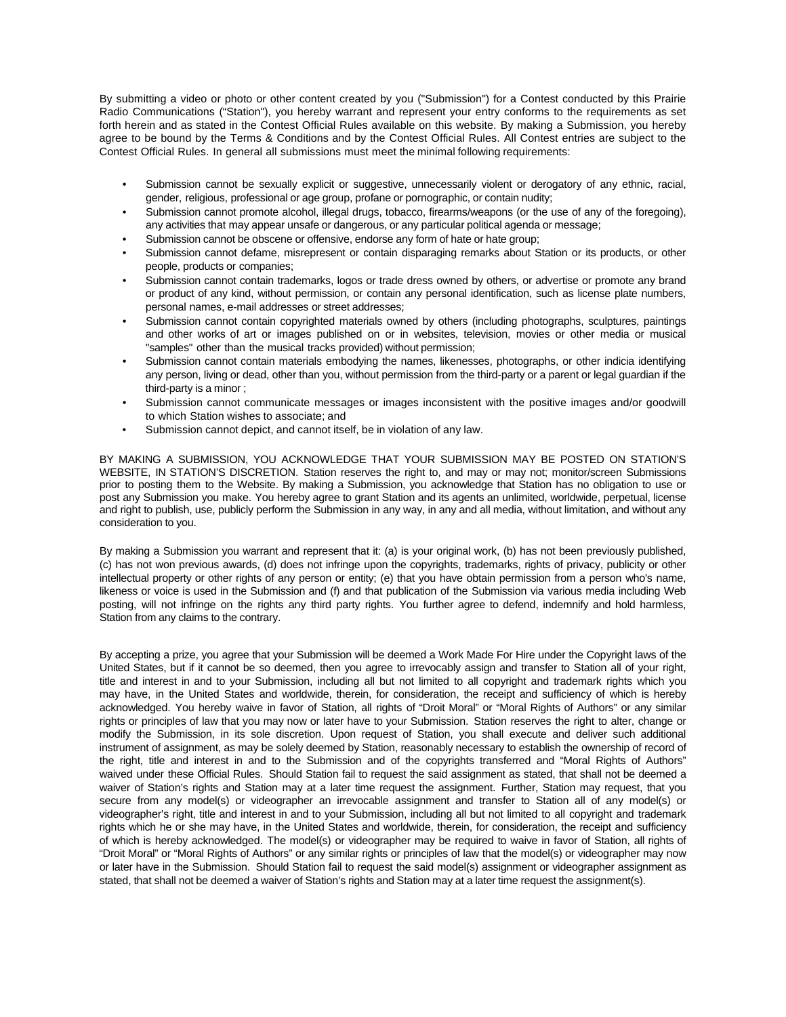By submitting a video or photo or other content created by you ("Submission") for a Contest conducted by this Prairie Radio Communications ("Station"), you hereby warrant and represent your entry conforms to the requirements as set forth herein and as stated in the Contest Official Rules available on this website. By making a Submission, you hereby agree to be bound by the Terms & Conditions and by the Contest Official Rules. All Contest entries are subject to the Contest Official Rules. In general all submissions must meet the minimal following requirements:

- Submission cannot be sexually explicit or suggestive, unnecessarily violent or derogatory of any ethnic, racial, gender, religious, professional or age group, profane or pornographic, or contain nudity;
- Submission cannot promote alcohol, illegal drugs, tobacco, firearms/weapons (or the use of any of the foregoing), any activities that may appear unsafe or dangerous, or any particular political agenda or message;
- Submission cannot be obscene or offensive, endorse any form of hate or hate group;
- Submission cannot defame, misrepresent or contain disparaging remarks about Station or its products, or other people, products or companies;
- Submission cannot contain trademarks, logos or trade dress owned by others, or advertise or promote any brand or product of any kind, without permission, or contain any personal identification, such as license plate numbers, personal names, e-mail addresses or street addresses;
- Submission cannot contain copyrighted materials owned by others (including photographs, sculptures, paintings and other works of art or images published on or in websites, television, movies or other media or musical "samples" other than the musical tracks provided) without permission;
- Submission cannot contain materials embodying the names, likenesses, photographs, or other indicia identifying any person, living or dead, other than you, without permission from the third-party or a parent or legal guardian if the third-party is a minor ;
- Submission cannot communicate messages or images inconsistent with the positive images and/or goodwill to which Station wishes to associate; and
- Submission cannot depict, and cannot itself, be in violation of any law.

BY MAKING A SUBMISSION, YOU ACKNOWLEDGE THAT YOUR SUBMISSION MAY BE POSTED ON STATION'S WEBSITE, IN STATION'S DISCRETION. Station reserves the right to, and may or may not; monitor/screen Submissions prior to posting them to the Website. By making a Submission, you acknowledge that Station has no obligation to use or post any Submission you make. You hereby agree to grant Station and its agents an unlimited, worldwide, perpetual, license and right to publish, use, publicly perform the Submission in any way, in any and all media, without limitation, and without any consideration to you.

By making a Submission you warrant and represent that it: (a) is your original work, (b) has not been previously published, (c) has not won previous awards, (d) does not infringe upon the copyrights, trademarks, rights of privacy, publicity or other intellectual property or other rights of any person or entity; (e) that you have obtain permission from a person who's name, likeness or voice is used in the Submission and (f) and that publication of the Submission via various media including Web posting, will not infringe on the rights any third party rights. You further agree to defend, indemnify and hold harmless, Station from any claims to the contrary.

By accepting a prize, you agree that your Submission will be deemed a Work Made For Hire under the Copyright laws of the United States, but if it cannot be so deemed, then you agree to irrevocably assign and transfer to Station all of your right, title and interest in and to your Submission, including all but not limited to all copyright and trademark rights which you may have, in the United States and worldwide, therein, for consideration, the receipt and sufficiency of which is hereby acknowledged. You hereby waive in favor of Station, all rights of "Droit Moral" or "Moral Rights of Authors" or any similar rights or principles of law that you may now or later have to your Submission. Station reserves the right to alter, change or modify the Submission, in its sole discretion. Upon request of Station, you shall execute and deliver such additional instrument of assignment, as may be solely deemed by Station, reasonably necessary to establish the ownership of record of the right, title and interest in and to the Submission and of the copyrights transferred and "Moral Rights of Authors" waived under these Official Rules. Should Station fail to request the said assignment as stated, that shall not be deemed a waiver of Station's rights and Station may at a later time request the assignment. Further, Station may request, that you secure from any model(s) or videographer an irrevocable assignment and transfer to Station all of any model(s) or videographer's right, title and interest in and to your Submission, including all but not limited to all copyright and trademark rights which he or she may have, in the United States and worldwide, therein, for consideration, the receipt and sufficiency of which is hereby acknowledged. The model(s) or videographer may be required to waive in favor of Station, all rights of "Droit Moral" or "Moral Rights of Authors" or any similar rights or principles of law that the model(s) or videographer may now or later have in the Submission. Should Station fail to request the said model(s) assignment or videographer assignment as stated, that shall not be deemed a waiver of Station's rights and Station may at a later time request the assignment(s).